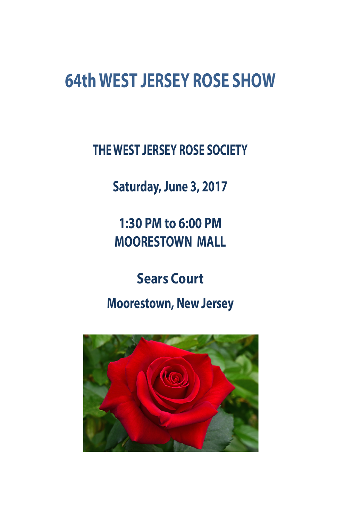## **64th WEST JERSEY ROSE SHOW**

**THE WEST JERSEY ROSE SOCIETY**

**Saturday, June 3, 2017**

**1:30 PM to 6:00 PM MOORESTOWN MALL**

**Sears Court Moorestown, New Jersey**

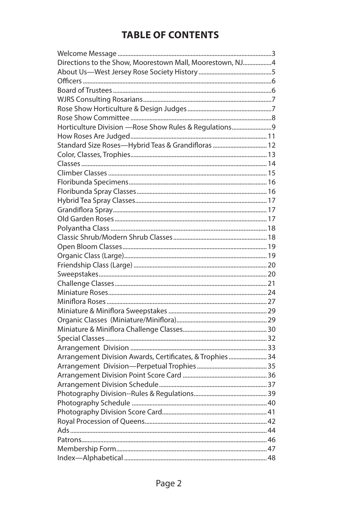## **TABLE OF CONTENTS**

| Directions to the Show, Moorestown Mall, Moorestown, NJ4  |  |
|-----------------------------------------------------------|--|
|                                                           |  |
|                                                           |  |
|                                                           |  |
|                                                           |  |
|                                                           |  |
|                                                           |  |
| Horticulture Division - Rose Show Rules & Regulations9    |  |
|                                                           |  |
| Standard Size Roses-Hybrid Teas & Grandifloras  12        |  |
|                                                           |  |
|                                                           |  |
|                                                           |  |
|                                                           |  |
|                                                           |  |
|                                                           |  |
|                                                           |  |
|                                                           |  |
|                                                           |  |
|                                                           |  |
|                                                           |  |
|                                                           |  |
|                                                           |  |
|                                                           |  |
|                                                           |  |
|                                                           |  |
|                                                           |  |
|                                                           |  |
|                                                           |  |
|                                                           |  |
|                                                           |  |
|                                                           |  |
| Arrangement Division Awards, Certificates, & Trophies  34 |  |
|                                                           |  |
|                                                           |  |
|                                                           |  |
|                                                           |  |
|                                                           |  |
|                                                           |  |
|                                                           |  |
|                                                           |  |
|                                                           |  |
|                                                           |  |
|                                                           |  |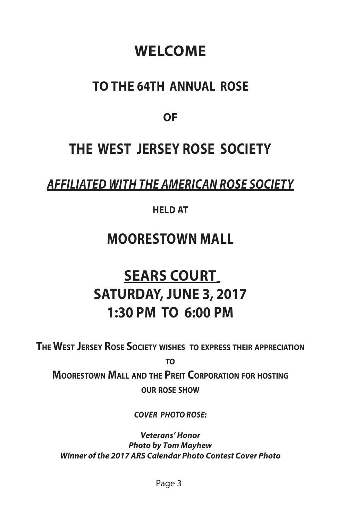## **WELCOME**

## **TO THE 64TH ANNUAL ROSE**

**OF**

## **THE WEST JERSEY ROSE SOCIETY**

## *AFFILIATED WITH THE AMERICAN ROSE SOCIETY*

#### **HELD AT**

## **MOORESTOWN MALL**

## **SEARS COURT SATURDAY, JUNE 3, 2017 1:30 PM TO 6:00 PM**

**The West Jersey Rose Society wishes to express their appreciation**

**to**

**Moorestown Mall and the Preit Corporation for hosting our rose show**

*COVER PHOTO ROSE:*

*Veterans' Honor Photo by Tom Mayhew Winner of the 2017 ARS Calendar Photo Contest Cover Photo*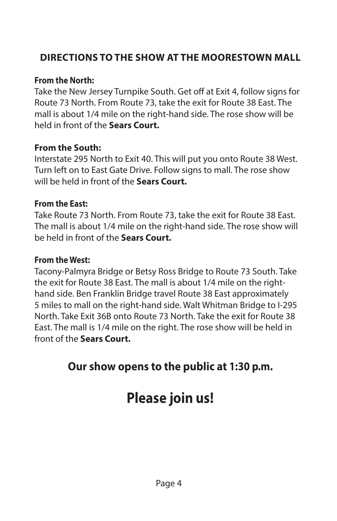## **DIRECTIONS TO THE SHOW AT THE MOORESTOWN MALL**

#### **From the North:**

Take the New Jersey Turnpike South. Get off at Exit 4, follow signs for Route 73 North. From Route 73, take the exit for Route 38 East. The mall is about 1/4 mile on the right-hand side. The rose show will be held in front of the **Sears Court.**

#### **From the South:**

Interstate 295 North to Exit 40. This will put you onto Route 38 West. Turn left on to East Gate Drive. Follow signs to mall. The rose show will be held in front of the **Sears Court.**

#### **From the East:**

Take Route 73 North. From Route 73, take the exit for Route 38 East. The mall is about 1/4 mile on the right-hand side. The rose show will be held in front of the **Sears Court.**

#### **From the West:**

Tacony-Palmyra Bridge or Betsy Ross Bridge to Route 73 South. Take the exit for Route 38 East. The mall is about 1/4 mile on the righthand side. Ben Franklin Bridge travel Route 38 East approximately 5 miles to mall on the right-hand side. Walt Whitman Bridge to I-295 North. Take Exit 36B onto Route 73 North. Take the exit for Route 38 East. The mall is 1/4 mile on the right. The rose show will be held in front of the **Sears Court.**

## **Our show opens to the public at 1:30 p.m.**

## **Please join us!**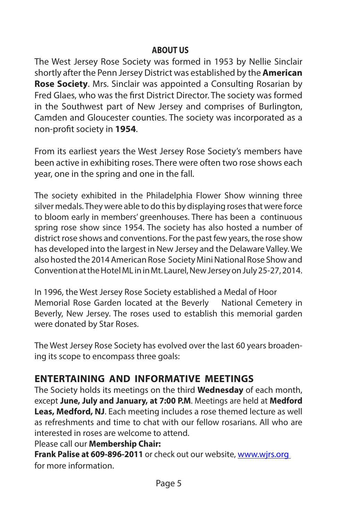#### **ABOUT US**

The West Jersey Rose Society was formed in 1953 by Nellie Sinclair shortly after the Penn Jersey District was established by the **American Rose Society**. Mrs. Sinclair was appointed a Consulting Rosarian by Fred Glaes, who was the first District Director. The society was formed in the Southwest part of New Jersey and comprises of Burlington, Camden and Gloucester counties. The society was incorporated as a non-profit society in **1954**.

From its earliest years the West Jersey Rose Society's members have been active in exhibiting roses. There were often two rose shows each year, one in the spring and one in the fall.

The society exhibited in the Philadelphia Flower Show winning three silver medals. They were able to do this by displaying roses that were force to bloom early in members' greenhouses. There has been a continuous spring rose show since 1954. The society has also hosted a number of district rose shows and conventions. For the past few years, the rose show has developed into the largest in New Jersey and the Delaware Valley. We also hosted the 2014 American Rose Society Mini National Rose Show and Convention at the Hotel ML in in Mt. Laurel, New Jersey on July 25-27, 2014.

In 1996, the West Jersey Rose Society established a Medal of Hoor Memorial Rose Garden located at the Beverly National Cemetery in Beverly, New Jersey. The roses used to establish this memorial garden were donated by Star Roses.

The West Jersey Rose Society has evolved over the last 60 years broadening its scope to encompass three goals:

## **ENTERTAINING AND INFORMATIVE MEETINGS**

The Society holds its meetings on the third **Wednesday** of each month, except **June, July and January, at 7:00 P.M**. Meetings are held at **Medford Leas, Medford, NJ**. Each meeting includes a rose themed lecture as well as refreshments and time to chat with our fellow rosarians. All who are interested in roses are welcome to attend.

#### Please call our **Membership Chair:**

**Frank Palise at 609-896-2011** or check out our website, www.wjrs.org for more information.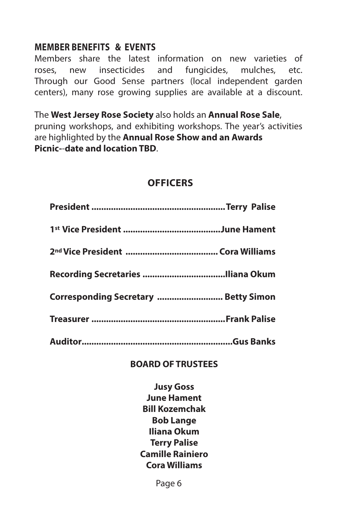#### **MEMBER BENEFITS & EVENTS**

Members share the latest information on new varieties of roses, new insecticides and fungicides, mulches, etc. Through our Good Sense partners (local independent garden centers), many rose growing supplies are available at a discount.

The **West Jersey Rose Society** also holds an **Annual Rose Sale**, pruning workshops, and exhibiting workshops. The year's activities are highlighted by the **Annual Rose Show and an Awards Picnic-**-**date and location TBD**.

## **OFFICERS**

| Corresponding Secretary  Betty Simon |  |
|--------------------------------------|--|
|                                      |  |
|                                      |  |

#### **BOARD OF TRUSTEES**

**Jusy Goss June Hament Bill Kozemchak Bob Lange Iliana Okum Terry Palise Camille Rainiero Cora Williams**

Page 6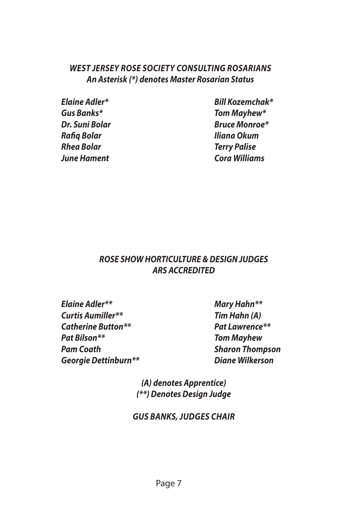#### *WEST JERSEY ROSE SOCIETY CONSULTING ROSARIANS An Asterisk (\*) denotes Master Rosarian Status*

*Rafiq Bolar Iliana Okum Rhea Bolar Terry Palise June Hament Cora Williams*

*Elaine Adler\* Bill Kozemchak\* Gus Banks\* Tom Mayhew\* Dr. Suni Bolar Bruce Monroe\**

#### *ROSE SHOW HORTICULTURE & DESIGN JUDGES ARS ACCREDITED*

*Elaine Adler\*\* Mary Hahn\*\* Curtis Aumiller\*\* Tim Hahn (A) Catherine Button\*\* Pat Lawrence\*\* Pat Bilson\*\* Tom Mayhew Pam Coath Sharon Thompson Georgie Dettinburn\*\* Diane Wilkerson*

*(A) denotes Apprentice) (\*\*) Denotes Design Judge*

*GUS BANKS, JUDGES CHAIR*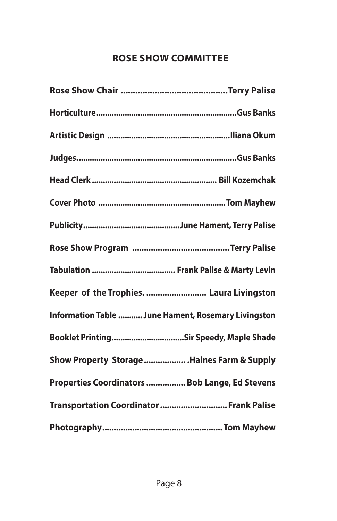## **ROSE SHOW COMMITTEE**

| Keeper of the Trophies.  Laura Livingston           |
|-----------------------------------------------------|
| Information Table  June Hament, Rosemary Livingston |
|                                                     |
| Show Property Storage  Haines Farm & Supply         |
| Properties Coordinators  Bob Lange, Ed Stevens      |
| Transportation Coordinator  Frank Palise            |
|                                                     |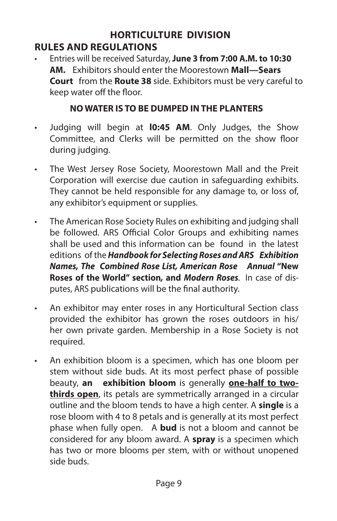#### **HORTICULTURE DIVISION RULES AND REGULATIONS**

• Entries will be received Saturday, **June 3 from 7:00 A.M. to 10:30 AM.** Exhibitors should enter the Moorestown **Mall—Sears Court** from the **Route 38** side. Exhibitors must be very careful to keep water off the floor.

#### **NO WATER IS TO BE DUMPED IN THE PLANTERS**

- Judging will begin at **l0:45 AM**. Only Judges, the Show Committee, and Clerks will be permitted on the show floor during judging.
- The West Jersey Rose Society, Moorestown Mall and the Preit Corporation will exercise due caution in safeguarding exhibits. They cannot be held responsible for any damage to, or loss of, any exhibitor's equipment or supplies.
- The American Rose Society Rules on exhibiting and judging shall be followed. ARS Official Color Groups and exhibiting names shall be used and this information can be found in the latest editions of the *Handbook for Selecting Roses and ARS Exhibition Names, The Combined Rose List, American Rose Annual* **"New Roses of the World" section***,* **and** *Modern Roses.* In case of disputes, ARS publications will be the final authority.
- An exhibitor may enter roses in any Horticultural Section class provided the exhibitor has grown the roses outdoors in his/ her own private garden. Membership in a Rose Society is not required.
- An exhibition bloom is a specimen, which has one bloom per stem without side buds. At its most perfect phase of possible beauty, **an exhibition bloom** is generally **one-half to twothirds open**, its petals are symmetrically arranged in a circular outline and the bloom tends to have a high center. A **single** is a rose bloom with 4 to 8 petals and is generally at its most perfect phase when fully open. A **bud** is not a bloom and cannot be considered for any bloom award. A **spray** is a specimen which has two or more blooms per stem, with or without unopened side buds.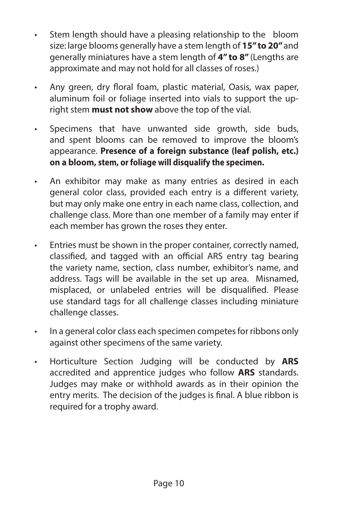- Stem length should have a pleasing relationship to the bloom size: large blooms generally have a stem length of **15" to 20"** and generally miniatures have a stem length of **4" to 8"** (Lengths are approximate and may not hold for all classes of roses.)
- Any green, dry floral foam, plastic material, Oasis, wax paper, aluminum foil or foliage inserted into vials to support the upright stem **must not show** above the top of the vial.
- Specimens that have unwanted side growth, side buds, and spent blooms can be removed to improve the bloom's appearance. **Presence of a foreign substance (leaf polish, etc.) on a bloom, stem, or foliage will disqualify the specimen.**
- An exhibitor may make as many entries as desired in each general color class, provided each entry is a different variety, but may only make one entry in each name class, collection, and challenge class. More than one member of a family may enter if each member has grown the roses they enter.
- Entries must be shown in the proper container, correctly named, classified, and tagged with an official ARS entry tag bearing the variety name, section, class number, exhibitor's name, and address. Tags will be available in the set up area. Misnamed, misplaced, or unlabeled entries will be disqualified. Please use standard tags for all challenge classes including miniature challenge classes.
- In a general color class each specimen competes for ribbons only against other specimens of the same variety.
- Horticulture Section Judging will be conducted by **ARS**  accredited and apprentice judges who follow **ARS** standards. Judges may make or withhold awards as in their opinion the entry merits. The decision of the judges is final. A blue ribbon is required for a trophy award.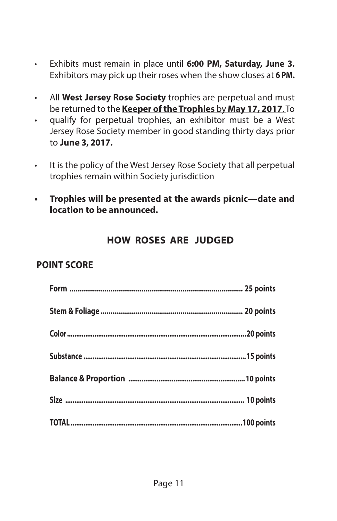- Exhibits must remain in place until **6:00 PM, Saturday, June 3.**  Exhibitors may pick up their roses when the show closes at **6 PM.**
- All **West Jersey Rose Society** trophies are perpetual and must be returned to the **Keeper of the Trophies** by **May 17, 2017**. To
- qualify for perpetual trophies, an exhibitor must be a West Jersey Rose Society member in good standing thirty days prior to **June 3, 2017.**
- It is the policy of the West Jersey Rose Society that all perpetual trophies remain within Society jurisdiction
- **• Trophies will be presented at the awards picnic—date and location to be announced.**

#### **HOW ROSES ARE JUDGED**

#### **POINT SCORE**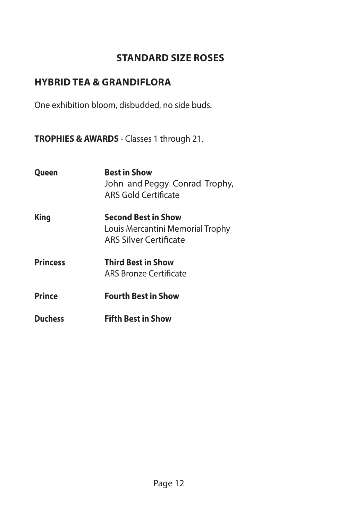## **STANDARD SIZE ROSES**

## **HYBRID TEA & GRANDIFLORA**

One exhibition bloom, disbudded, no side buds.

**TROPHIES & AWARDS** - Classes 1 through 21.

| <b>Queen</b>    | <b>Best in Show</b><br>John and Peggy Conrad Trophy,<br>ARS Gold Certificate                    |
|-----------------|-------------------------------------------------------------------------------------------------|
| King            | <b>Second Best in Show</b><br>Louis Mercantini Memorial Trophy<br><b>ARS Silver Certificate</b> |
| <b>Princess</b> | <b>Third Best in Show</b><br>ARS Bronze Certificate                                             |
| <b>Prince</b>   | <b>Fourth Best in Show</b>                                                                      |
| <b>Duchess</b>  | <b>Fifth Best in Show</b>                                                                       |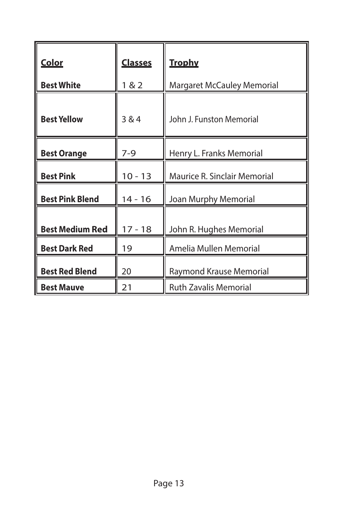| <b>Color</b>           | <u>Classes</u> | <u>Trophy</u>                |
|------------------------|----------------|------------------------------|
| <b>Best White</b>      | 1 & 2          | Margaret McCauley Memorial   |
| <b>Best Yellow</b>     | 384            | John J. Funston Memorial     |
| <b>Best Orange</b>     | $7-9$          | Henry L. Franks Memorial     |
| <b>Best Pink</b>       | $10 - 13$      | Maurice R. Sinclair Memorial |
| <b>Best Pink Blend</b> | $14 - 16$      | Joan Murphy Memorial         |
| <b>Best Medium Red</b> | $17 - 18$      | John R. Hughes Memorial      |
| <b>Best Dark Red</b>   | 19             | Amelia Mullen Memorial       |
| <b>Best Red Blend</b>  | 20             | Raymond Krause Memorial      |
| <b>Best Mauve</b>      | 21             | <b>Ruth Zavalis Memorial</b> |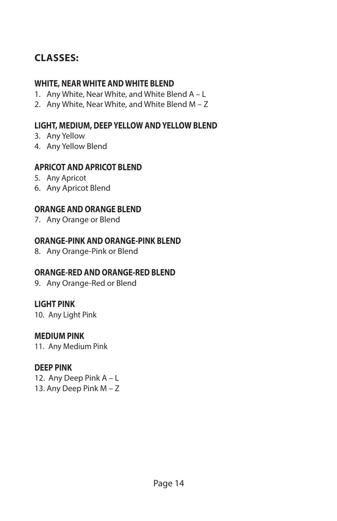## **CLASSES:**

#### **WHITE, NEAR WHITE AND WHITE BLEND**

- 1. Any White, Near White, and White Blend A L
- 2. Any White, Near White, and White Blend M Z

#### **LIGHT, MEDIUM, DEEP YELLOW AND YELLOW BLEND**

- 3. Any Yellow
- 4. Any Yellow Blend

#### **APRICOT AND APRICOT BLEND**

- 5. Any Apricot
- 6. Any Apricot Blend

#### **ORANGE AND ORANGE BLEND**

7. Any Orange or Blend

#### **ORANGE-PINK AND ORANGE-PINK BLEND**

8. Any Orange-Pink or Blend

#### **ORANGE-RED AND ORANGE-RED BLEND**

9. Any Orange-Red or Blend

#### **LIGHT PINK**

10. Any Light Pink

#### **MEDIUM PINK**

11. Any Medium Pink

#### **DEEP PINK**

12. Any Deep Pink A – L 13. Any Deep Pink M – Z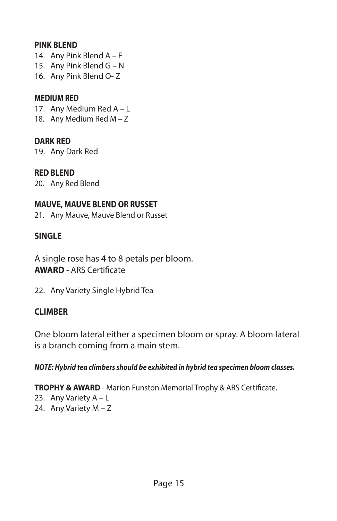#### **PINK BLEND**

- 14. Any Pink Blend A F
- 15. Any Pink Blend G N
- 16. Any Pink Blend O- Z

#### **MEDIUM RED**

17. Any Medium Red A – L

18. Any Medium Red M – Z

#### **DARK RED**

19. Any Dark Red

#### **RED BLEND**

20. Any Red Blend

#### **MAUVE, MAUVE BLEND OR RUSSET**

21. Any Mauve, Mauve Blend or Russet

#### **SINGLE**

A single rose has 4 to 8 petals per bloom. **AWARD** - ARS Certificate

22. Any Variety Single Hybrid Tea

#### **CLIMBER**

One bloom lateral either a specimen bloom or spray. A bloom lateral is a branch coming from a main stem.

#### *NOTE: Hybrid tea climbers should be exhibited in hybrid tea specimen bloom classes.*

**TROPHY & AWARD** - Marion Funston Memorial Trophy & ARS Certificate.

- 23. Any Variety A L
- 24. Any Variety M Z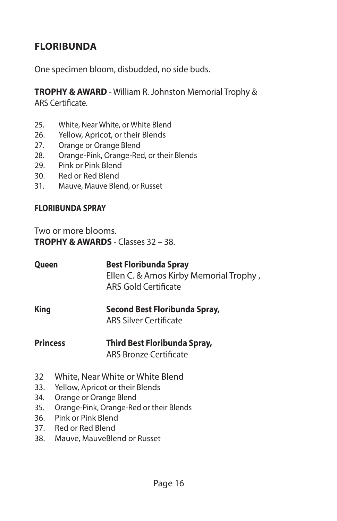## **FLORIBUNDA**

One specimen bloom, disbudded, no side buds.

**TROPHY & AWARD** - William R. Johnston Memorial Trophy & ARS Certificate.

- 25. White, Near White, or White Blend
- 26. Yellow, Apricot, or their Blends
- 27. Orange or Orange Blend
- 28. Orange-Pink, Orange-Red, or their Blends
- 29. Pink or Pink Blend
- 30. Red or Red Blend
- 31. Mauve, Mauve Blend, or Russet

#### **FLORIBUNDA SPRAY**

Two or more blooms. **TROPHY & AWARDS** - Classes 32 – 38.

| Queen | <b>Best Floribunda Spray</b>           |  |  |
|-------|----------------------------------------|--|--|
|       | Ellen C. & Amos Kirby Memorial Trophy, |  |  |
|       | ARS Gold Certificate                   |  |  |
|       |                                        |  |  |

**King Second Best Floribunda Spray,** ARS Silver Certificate

#### **Princess Third Best Floribunda Spray,** ARS Bronze Certificate

- 32 White, Near White or White Blend
- 33. Yellow, Apricot or their Blends
- 34. Orange or Orange Blend
- 35. Orange-Pink, Orange-Red or their Blends
- 36. Pink or Pink Blend
- 37. Red or Red Blend
- 38. Mauve, MauveBlend or Russet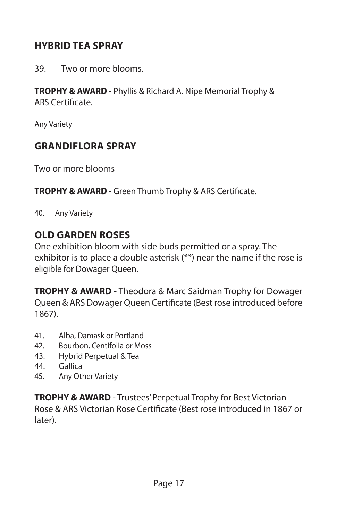## **HYBRID TEA SPRAY**

39. Two or more blooms.

**TROPHY & AWARD** - Phyllis & Richard A. Nipe Memorial Trophy & ARS Certificate.

Any Variety

#### **GRANDIFLORA SPRAY**

Two or more blooms

**TROPHY & AWARD** - Green Thumb Trophy & ARS Certificate.

40. Any Variety

#### **OLD GARDEN ROSES**

One exhibition bloom with side buds permitted or a spray. The exhibitor is to place a double asterisk (\*\*) near the name if the rose is eligible for Dowager Queen.

**TROPHY & AWARD** - Theodora & Marc Saidman Trophy for Dowager Queen & ARS Dowager Queen Certificate (Best rose introduced before 1867).

- 41. Alba, Damask or Portland
- 42. Bourbon, Centifolia or Moss
- 43. Hybrid Perpetual & Tea
- 44. Gallica
- 45. Any Other Variety

**TROPHY & AWARD** - Trustees' Perpetual Trophy for Best Victorian Rose & ARS Victorian Rose Certificate (Best rose introduced in 1867 or later).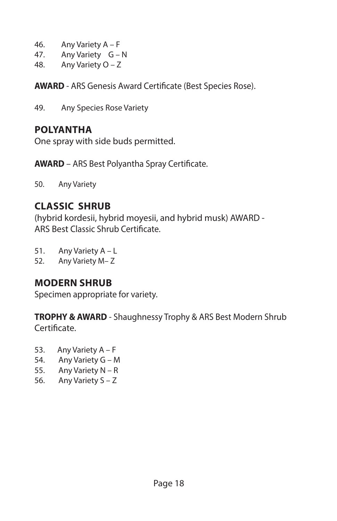- 46. Any Variety A F
- 47. Any Variety G N
- 48. Any Variety O Z

**AWARD** - ARS Genesis Award Certificate (Best Species Rose).

49. Any Species Rose Variety

## **POLYANTHA**

One spray with side buds permitted.

**AWARD** – ARS Best Polyantha Spray Certificate.

50. Any Variety

## **CLASSIC SHRUB**

(hybrid kordesii, hybrid moyesii, and hybrid musk) AWARD - ARS Best Classic Shrub Certificate.

51. Any Variety A – L

52. Any Variety M– Z

## **MODERN SHRUB**

Specimen appropriate for variety.

**TROPHY & AWARD** - Shaughnessy Trophy & ARS Best Modern Shrub Certificate.

- 53. Any Variety A F
- 54. Any Variety G M
- 55. Any Variety N R
- 56. Any Variety S Z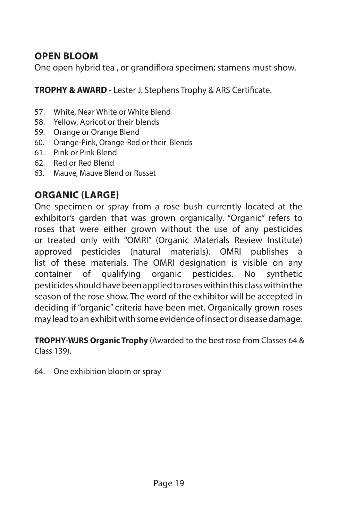## **OPEN BLOOM**

One open hybrid tea , or grandiflora specimen; stamens must show.

**TROPHY & AWARD** - Lester J. Stephens Trophy & ARS Certificate.

- 57. White, Near White or White Blend
- 58. Yellow, Apricot or their blends
- 59. Orange or Orange Blend
- 60. Orange-Pink, Orange-Red or their Blends
- 61. Pink or Pink Blend
- 62. Red or Red Blend
- 63. Mauve, Mauve Blend or Russet

## **ORGANIC (LARGE)**

One specimen or spray from a rose bush currently located at the exhibitor's garden that was grown organically. "Organic" refers to roses that were either grown without the use of any pesticides or treated only with "OMRI" (Organic Materials Review Institute) approved pesticides (natural materials). OMRI publishes a list of these materials. The OMRI designation is visible on any container of qualifying organic pesticides. No synthetic pesticides should have been applied to roses within this class within the season of the rose show. The word of the exhibitor will be accepted in deciding if "organic" criteria have been met. Organically grown roses may lead to an exhibit with some evidence of insect or disease damage.

**TROPHY-WJRS Organic Trophy** (Awarded to the best rose from Classes 64 & Class 139).

64. One exhibition bloom or spray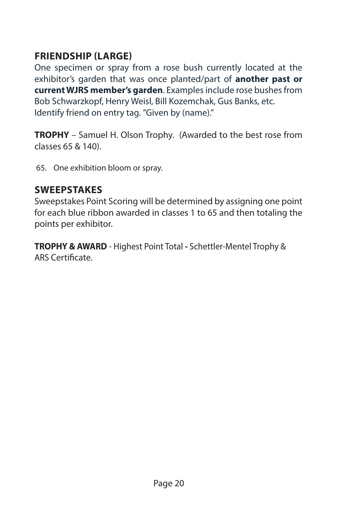## **FRIENDSHIP (LARGE)**

One specimen or spray from a rose bush currently located at the exhibitor's garden that was once planted/part of **another past or current WJRS member's garden**. Examples include rose bushes from Bob Schwarzkopf, Henry Weisl, Bill Kozemchak, Gus Banks, etc. Identify friend on entry tag. "Given by (name)."

**TROPHY** – Samuel H. Olson Trophy. (Awarded to the best rose from classes 65 & 140).

65. One exhibition bloom or spray.

#### **SWEEPSTAKES**

Sweepstakes Point Scoring will be determined by assigning one point for each blue ribbon awarded in classes 1 to 65 and then totaling the points per exhibitor.

**TROPHY & AWARD** - Highest Point Total **-** Schettler-Mentel Trophy & ARS Certificate.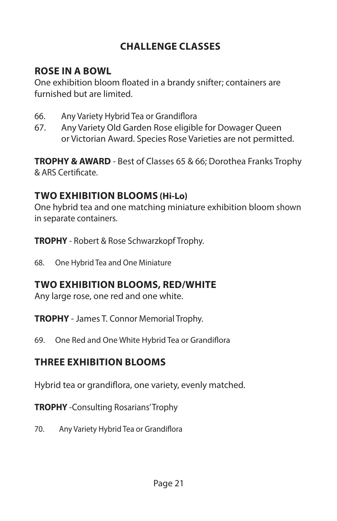## **CHALLENGE CLASSES**

## **ROSE IN A BOWL**

One exhibition bloom floated in a brandy snifter; containers are furnished but are limited.

- 66. Any Variety Hybrid Tea or Grandiflora
- 67. Any Variety Old Garden Rose eligible for Dowager Queen or Victorian Award. Species Rose Varieties are not permitted.

**TROPHY & AWARD** - Best of Classes 65 & 66; Dorothea Franks Trophy & ARS Certificate.

## **TWO EXHIBITION BLOOMS (Hi-Lo)**

One hybrid tea and one matching miniature exhibition bloom shown in separate containers.

**TROPHY** - Robert & Rose Schwarzkopf Trophy.

68. One Hybrid Tea and One Miniature

## **TWO EXHIBITION BLOOMS, RED/WHITE**

Any large rose, one red and one white.

**TROPHY** - James T. Connor Memorial Trophy.

69. One Red and One White Hybrid Tea or Grandiflora

## **THREE EXHIBITION BLOOMS**

Hybrid tea or grandiflora, one variety, evenly matched.

**TROPHY** -Consulting Rosarians' Trophy

70. Any Variety Hybrid Tea or Grandiflora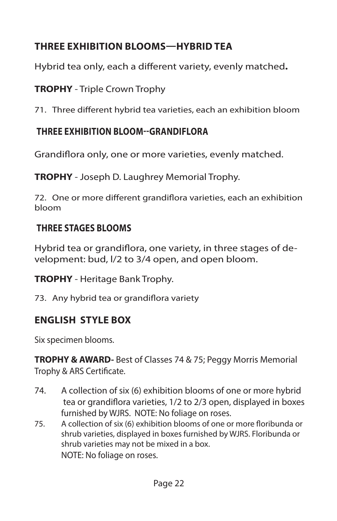## **THREE EXHIBITION BLOOMS—HYBRID TEA**

Hybrid tea only, each a different variety, evenly matched**.** 

**TROPHY** - Triple Crown Trophy

71. Three different hybrid tea varieties, each an exhibition bloom

## **THREE EXHIBITION BLOOM--GRANDIFLORA**

Grandiflora only, one or more varieties, evenly matched.

**TROPHY** - Joseph D. Laughrey Memorial Trophy.

72. One or more different grandiflora varieties, each an exhibition bloom

## **THREE STAGES BLOOMS**

Hybrid tea or grandiflora, one variety, in three stages of development: bud, l/2 to 3/4 open, and open bloom.

**TROPHY** - Heritage Bank Trophy.

73. Any hybrid tea or grandiflora variety

## **ENGLISH STYLE BOX**

Six specimen blooms.

**TROPHY & AWARD-** Best of Classes 74 & 75; Peggy Morris Memorial Trophy & ARS Certificate.

- 74. A collection of six (6) exhibition blooms of one or more hybrid tea or grandiflora varieties, 1/2 to 2/3 open, displayed in boxes furnished by WJRS. NOTE: No foliage on roses.
- 75. A collection of six (6) exhibition blooms of one or more floribunda or shrub varieties, displayed in boxes furnished by WJRS. Floribunda or shrub varieties may not be mixed in a box. NOTE: No foliage on roses.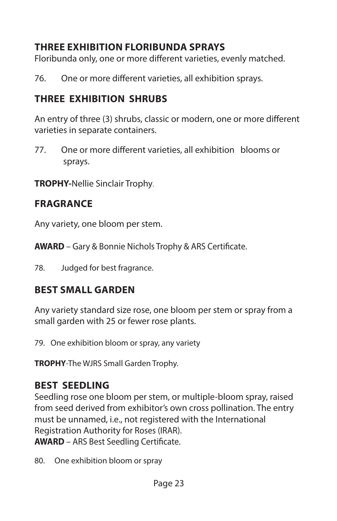## **THREE EXHIBITION FLORIBUNDA SPRAYS**

Floribunda only, one or more different varieties, evenly matched.

76. One or more different varieties, all exhibition sprays.

## **THREE EXHIBITION SHRUBS**

An entry of three (3) shrubs, classic or modern, one or more different varieties in separate containers.

77. One or more different varieties, all exhibition blooms or sprays.

**TROPHY-**Nellie Sinclair Trophy.

## **FRAGRANCE**

Any variety, one bloom per stem.

**AWARD** – Gary & Bonnie Nichols Trophy & ARS Certificate.

78. Judged for best fragrance.

## **BEST SMALL GARDEN**

Any variety standard size rose, one bloom per stem or spray from a small garden with 25 or fewer rose plants.

79. One exhibition bloom or spray, any variety

**TROPHY**-The WJRS Small Garden Trophy.

## **BEST SEEDLING**

Seedling rose one bloom per stem, or multiple-bloom spray, raised from seed derived from exhibitor's own cross pollination. The entry must be unnamed, i.e., not registered with the International Registration Authority for Roses (IRAR).

**AWARD** – ARS Best Seedling Certificate.

80. One exhibition bloom or spray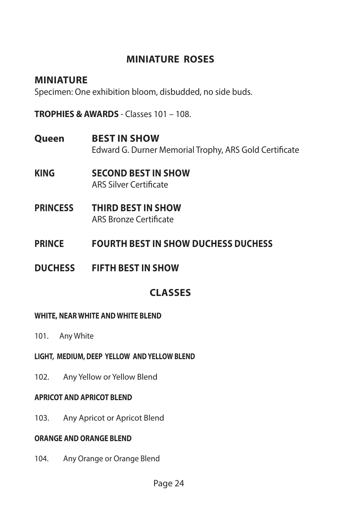## **MINIATURE ROSES**

#### **MINIATURE**

Specimen: One exhibition bloom, disbudded, no side buds.

**TROPHIES & AWARDS** - Classes 101 – 108.

- **Queen BEST IN SHOW** Edward G. Durner Memorial Trophy, ARS Gold Certificate
- **KING SECOND BEST IN SHOW** ARS Silver Certificate
- **PRINCESS THIRD BEST IN SHOW** ARS Bronze Certificate
- **PRINCE FOURTH BEST IN SHOW DUCHESS DUCHESS**
- **DUCHESS FIFTH BEST IN SHOW**

## **CLASSES**

#### **WHITE, NEAR WHITE AND WHITE BLEND**

- 101. Any White
- **LIGHT, MEDIUM, DEEP YELLOW AND YELLOW BLEND**
- 102. Any Yellow or Yellow Blend

#### **APRICOT AND APRICOT BLEND**

103. Any Apricot or Apricot Blend

#### **ORANGE AND ORANGE BLEND**

104. Any Orange or Orange Blend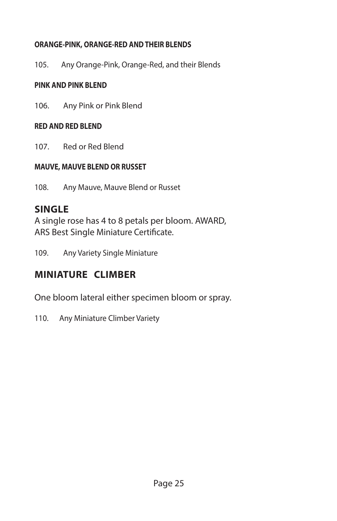#### **ORANGE-PINK, ORANGE-RED AND THEIR BLENDS**

105. Any Orange-Pink, Orange-Red, and their Blends

#### **PINK AND PINK BLEND**

106. Any Pink or Pink Blend

#### **RED AND RED BLEND**

107. Red or Red Blend

#### **MAUVE, MAUVE BLEND OR RUSSET**

108. Any Mauve, Mauve Blend or Russet

## **SINGLE**

A single rose has 4 to 8 petals per bloom. AWARD, ARS Best Single Miniature Certificate.

109. Any Variety Single Miniature

## **MINIATURE CLIMBER**

One bloom lateral either specimen bloom or spray.

110. Any Miniature Climber Variety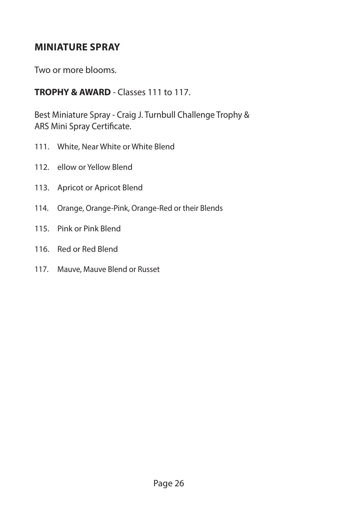## **MINIATURE SPRAY**

Two or more blooms.

#### **TROPHY & AWARD** - Classes 111 to 117.

Best Miniature Spray - Craig J. Turnbull Challenge Trophy & ARS Mini Spray Certificate.

- 111. White, Near White or White Blend
- 112. ellow or Yellow Blend
- 113. Apricot or Apricot Blend
- 114. Orange, Orange-Pink, Orange-Red or their Blends
- 115. Pink or Pink Blend
- 116. Red or Red Blend
- 117. Mauve, Mauve Blend or Russet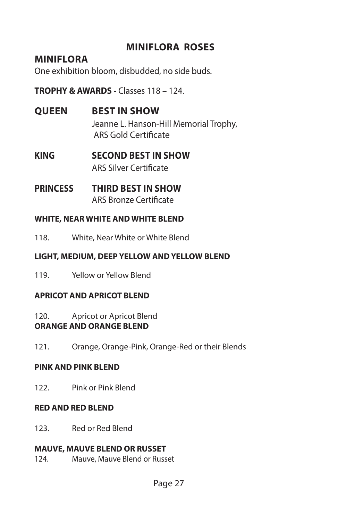## **MINIFLORA ROSES**

#### **MINIFLORA**

One exhibition bloom, disbudded, no side buds.

**TROPHY & AWARDS -** Classes 118 – 124.

**QUEEN BEST IN SHOW**

Jeanne L. Hanson-Hill Memorial Trophy, ARS Gold Certificate

- **KING SECOND BEST IN SHOW** ARS Silver Certificate
- **PRINCESS THIRD BEST IN SHOW** ARS Bronze Certificate

#### **WHITE, NEAR WHITE AND WHITE BLEND**

118. White, Near White or White Blend

#### **LIGHT, MEDIUM, DEEP YELLOW AND YELLOW BLEND**

119. Yellow or Yellow Blend

#### **APRICOT AND APRICOT BLEND**

120. Apricot or Apricot Blend **ORANGE AND ORANGE BLEND**

121. Orange, Orange-Pink, Orange-Red or their Blends

#### **PINK AND PINK BLEND**

122. Pink or Pink Blend

#### **RED AND RED BLEND**

123. Red or Red Blend

#### **MAUVE, MAUVE BLEND OR RUSSET**

124. Mauve, Mauve Blend or Russet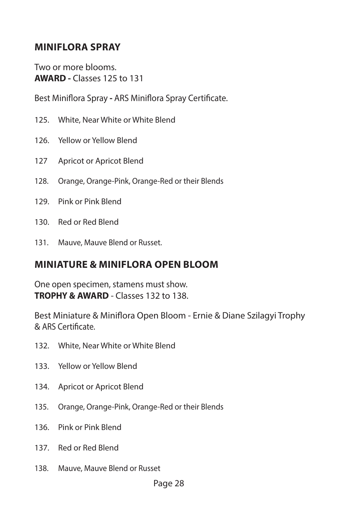## **MINIFLORA SPRAY**

Two or more blooms. **AWARD -** Classes 125 to 131

Best Miniflora Spray **-** ARS Miniflora Spray Certificate.

- 125. White, Near White or White Blend
- 126. Yellow or Yellow Blend
- 127 Apricot or Apricot Blend
- 128. Orange, Orange-Pink, Orange-Red or their Blends
- 129. Pink or Pink Blend
- 130. Red or Red Blend
- 131. Mauve, Mauve Blend or Russet.

#### **MINIATURE & MINIFLORA OPEN BLOOM**

One open specimen, stamens must show. **TROPHY & AWARD** - Classes 132 to 138.

Best Miniature & Miniflora Open Bloom - Ernie & Diane Szilagyi Trophy & ARS Certificate.

- 132. White, Near White or White Blend
- 133. Yellow or Yellow Blend
- 134. Apricot or Apricot Blend
- 135. Orange, Orange-Pink, Orange-Red or their Blends
- 136. Pink or Pink Blend
- 137. Red or Red Blend
- 138. Mauve, Mauve Blend or Russet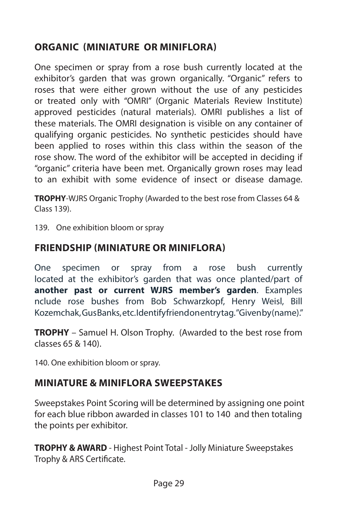## **ORGANIC (MINIATURE OR MINIFLORA)**

One specimen or spray from a rose bush currently located at the exhibitor's garden that was grown organically. "Organic" refers to roses that were either grown without the use of any pesticides or treated only with "OMRI" (Organic Materials Review Institute) approved pesticides (natural materials). OMRI publishes a list of these materials. The OMRI designation is visible on any container of qualifying organic pesticides. No synthetic pesticides should have been applied to roses within this class within the season of the rose show. The word of the exhibitor will be accepted in deciding if "organic" criteria have been met. Organically grown roses may lead to an exhibit with some evidence of insect or disease damage.

**TROPHY**-WJRS Organic Trophy (Awarded to the best rose from Classes 64 & Class 139).

139. One exhibition bloom or spray

#### **FRIENDSHIP (MINIATURE OR MINIFLORA)**

One specimen or spray from a rose bush currently located at the exhibitor's garden that was once planted/part of **another past or current WJRS member's garden**. Examples nclude rose bushes from Bob Schwarzkopf, Henry Weisl, Bill Kozemchak, Gus Banks, etc. Identify friend on entry tag. "Given by (name)."

**TROPHY** – Samuel H. Olson Trophy. (Awarded to the best rose from classes 65 & 140).

140. One exhibition bloom or spray.

## **MINIATURE & MINIFLORA SWEEPSTAKES**

Sweepstakes Point Scoring will be determined by assigning one point for each blue ribbon awarded in classes 101 to 140 and then totaling the points per exhibitor.

**TROPHY & AWARD** - Highest Point Total - Jolly Miniature Sweepstakes Trophy & ARS Certificate.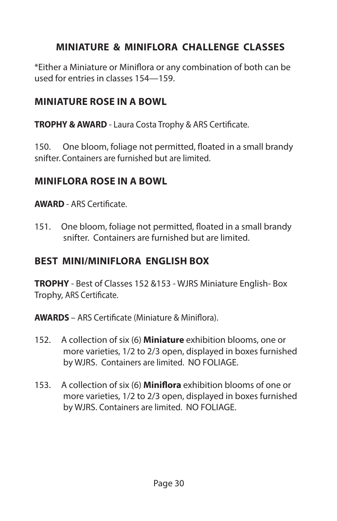## **MINIATURE & MINIFLORA CHALLENGE CLASSES**

\*Either a Miniature or Miniflora or any combination of both can be used for entries in classes 154—159.

#### **MINIATURE ROSE IN A BOWL**

**TROPHY & AWARD** - Laura Costa Trophy & ARS Certificate.

150. One bloom, foliage not permitted, floated in a small brandy snifter. Containers are furnished but are limited.

#### **MINIFLORA ROSE IN A BOWL**

**AWARD** - ARS Certificate.

151. One bloom, foliage not permitted, floated in a small brandy snifter. Containers are furnished but are limited.

## **BEST MINI/MINIFLORA ENGLISH BOX**

**TROPHY** - Best of Classes 152 &153 - WJRS Miniature English- Box Trophy, ARS Certificate.

**AWARDS** – ARS Certificate (Miniature & Miniflora).

- 152. A collection of six (6) **Miniature** exhibition blooms, one or more varieties, 1/2 to 2/3 open, displayed in boxes furnished by WJRS. Containers are limited. NO FOLIAGE.
- 153. A collection of six (6) **Miniflora** exhibition blooms of one or more varieties, 1/2 to 2/3 open, displayed in boxes furnished by WJRS. Containers are limited. NO FOLIAGE.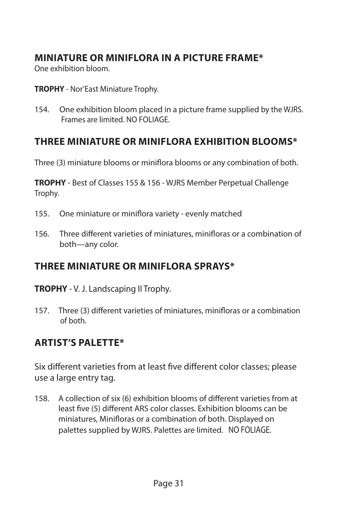## **MINIATURE OR MINIFLORA IN A PICTURE FRAME\***

One exhibition bloom.

**TROPHY** - Nor'East Miniature Trophy.

154. One exhibition bloom placed in a picture frame supplied by the WJRS. Frames are limited. NO FOLIAGE.

## **THREE MINIATURE OR MINIFLORA EXHIBITION BLOOMS\***

Three (3) miniature blooms or miniflora blooms or any combination of both.

**TROPHY** - Best of Classes 155 & 156 - WJRS Member Perpetual Challenge Trophy.

- 155. One miniature or miniflora variety evenly matched
- 156. Three different varieties of miniatures, minifloras or a combination of both—any color.

## **THREE MINIATURE OR MINIFLORA SPRAYS\***

**TROPHY** - V. J. Landscaping II Trophy.

157. Three (3) different varieties of miniatures, minifloras or a combination of both.

## **ARTIST'S PALETTE\***

Six different varieties from at least five different color classes; please use a large entry tag.

158. A collection of six (6) exhibition blooms of different varieties from at least five (5) different ARS color classes. Exhibition blooms can be miniatures, Minifloras or a combination of both. Displayed on palettes supplied by WJRS. Palettes are limited. NO FOLIAGE.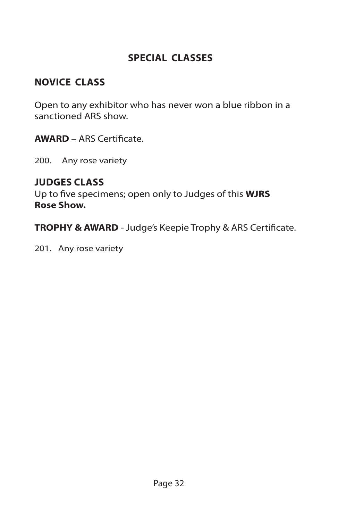## **SPECIAL CLASSES**

## **NOVICE CLASS**

Open to any exhibitor who has never won a blue ribbon in a sanctioned ARS show.

**AWARD** – ARS Certificate.

200. Any rose variety

#### **JUDGES CLASS**

Up to five specimens; open only to Judges of this **WJRS Rose Show.**

**TROPHY & AWARD** - Judge's Keepie Trophy & ARS Certificate.

201. Any rose variety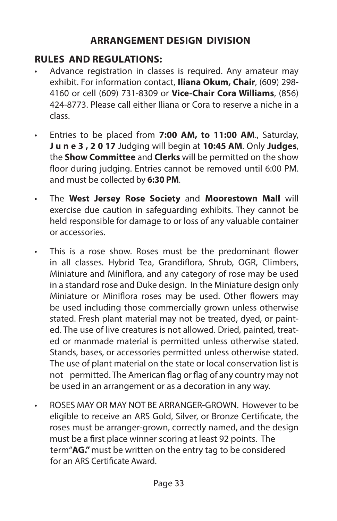## **ARRANGEMENT DESIGN DIVISION**

## **RULES AND REGULATIONS:**

- Advance registration in classes is required. Any amateur may exhibit. For information contact, **Iliana Okum, Chair**, (609) 298- 4160 or cell (609) 731-8309 or **Vice-Chair Cora Williams**, (856) 424-8773. Please call either Iliana or Cora to reserve a niche in a class.
- Entries to be placed from **7:00 AM, to 11:00 AM**., Saturday, **J u n e 3 , 2 0 17** Judging will begin at **10:45 AM**. Only **Judges**, the **Show Committee** and **Clerks** will be permitted on the show floor during judging. Entries cannot be removed until 6:00 PM. and must be collected by **6:30 PM**.
- The **West Jersey Rose Society** and **Moorestown Mall** will exercise due caution in safeguarding exhibits. They cannot be held responsible for damage to or loss of any valuable container or accessories.
- This is a rose show. Roses must be the predominant flower in all classes. Hybrid Tea, Grandiflora, Shrub, OGR, Climbers, Miniature and Miniflora, and any category of rose may be used in a standard rose and Duke design. In the Miniature design only Miniature or Miniflora roses may be used. Other flowers may be used including those commercially grown unless otherwise stated. Fresh plant material may not be treated, dyed, or painted. The use of live creatures is not allowed. Dried, painted, treated or manmade material is permitted unless otherwise stated. Stands, bases, or accessories permitted unless otherwise stated. The use of plant material on the state or local conservation list is not permitted. The American flag or flag of any country may not be used in an arrangement or as a decoration in any way.
- ROSES MAY OR MAY NOT BE ARRANGER-GROWN. However to be eligible to receive an ARS Gold, Silver, or Bronze Certificate, the roses must be arranger-grown, correctly named, and the design must be a first place winner scoring at least 92 points. The term"**AG."** must be written on the entry tag to be considered for an ARS Certificate Award.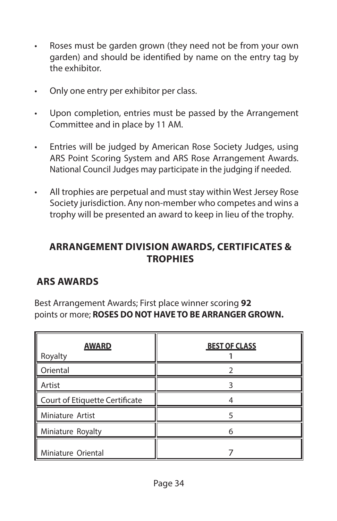- Roses must be garden grown (they need not be from your own garden) and should be identified by name on the entry tag by the exhibitor.
- Only one entry per exhibitor per class.
- Upon completion, entries must be passed by the Arrangement Committee and in place by 11 AM.
- Entries will be judged by American Rose Society Judges, using ARS Point Scoring System and ARS Rose Arrangement Awards. National Council Judges may participate in the judging if needed.
- All trophies are perpetual and must stay within West Jersey Rose Society jurisdiction. Any non-member who competes and wins a trophy will be presented an award to keep in lieu of the trophy.

## **ARRANGEMENT DIVISION AWARDS, CERTIFICATES & TROPHIES**

## **ARS AWARDS**

Best Arrangement Awards; First place winner scoring **92** points or more; **ROSES DO NOT HAVE TO BE ARRANGER GROWN.**

| <b>AWARD</b><br>Royalty        | <b>BEST OF CLASS</b> |
|--------------------------------|----------------------|
| Oriental                       |                      |
| Artist                         |                      |
| Court of Etiquette Certificate |                      |
| Miniature Artist               |                      |
| Miniature Royalty              | 6                    |
| Miniature Oriental             |                      |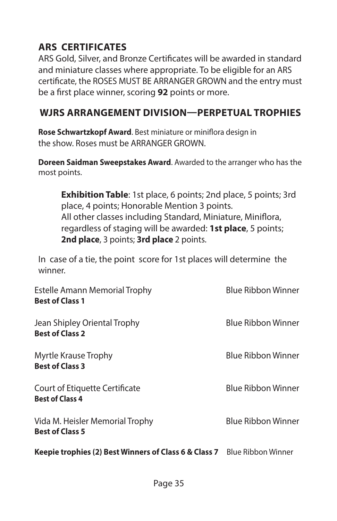## **ARS CERTIFICATES**

ARS Gold, Silver, and Bronze Certificates will be awarded in standard and miniature classes where appropriate. To be eligible for an ARS certificate, the ROSES MUST BE ARRANGER GROWN and the entry must be a first place winner, scoring **92** points or more.

#### **WJRS ARRANGEMENT DIVISION—PERPETUAL TROPHIES**

**Rose Schwartzkopf Award**. Best miniature or miniflora design in the show. Roses must be ARRANGER GROWN.

**Doreen Saidman Sweepstakes Award**. Awarded to the arranger who has the most points.

**Exhibition Table:** 1st place, 6 points; 2nd place, 5 points; 3rd place, 4 points; Honorable Mention 3 points. All other classes including Standard, Miniature, Miniflora, regardless of staging will be awarded: **1st place**, 5 points; **2nd place**, 3 points; **3rd place** 2 points.

In case of a tie, the point score for 1st places will determine the winner.

| Estelle Amann Memorial Trophy<br><b>Best of Class 1</b>         | <b>Blue Ribbon Winner</b> |
|-----------------------------------------------------------------|---------------------------|
| Jean Shipley Oriental Trophy<br><b>Best of Class 2</b>          | <b>Blue Ribbon Winner</b> |
| Myrtle Krause Trophy<br><b>Best of Class 3</b>                  | <b>Blue Ribbon Winner</b> |
| <b>Court of Etiquette Certificate</b><br><b>Best of Class 4</b> | <b>Blue Ribbon Winner</b> |
| Vida M. Heisler Memorial Trophy<br><b>Best of Class 5</b>       | <b>Blue Ribbon Winner</b> |
| Keepie trophies (2) Best Winners of Class 6 & Class 7           | Blue Ribbon Winner        |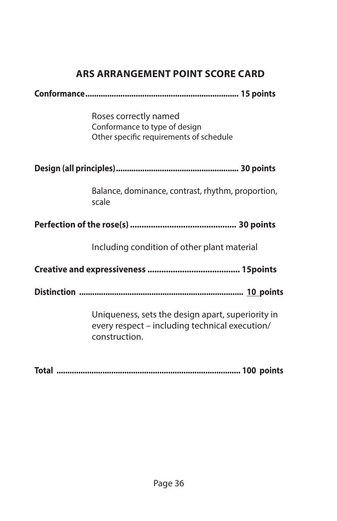## **ARS ARRANGEMENT POINT SCORE CARD**

| Roses correctly named<br>Conformance to type of design<br>Other specific requirements of schedule                    |  |  |
|----------------------------------------------------------------------------------------------------------------------|--|--|
|                                                                                                                      |  |  |
| Balance, dominance, contrast, rhythm, proportion,<br>scale                                                           |  |  |
|                                                                                                                      |  |  |
| Including condition of other plant material                                                                          |  |  |
|                                                                                                                      |  |  |
|                                                                                                                      |  |  |
| Uniqueness, sets the design apart, superiority in<br>every respect - including technical execution/<br>construction. |  |  |

**Total .................................................................................... 100 points**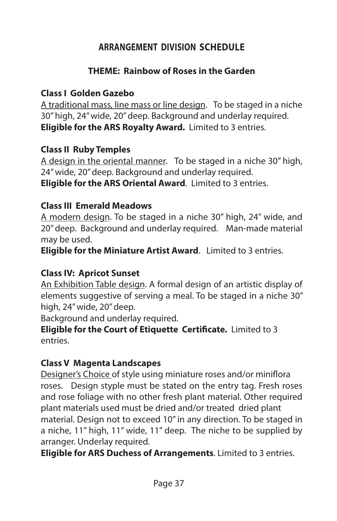## **ARRANGEMENT DIVISION SCHEDULE**

#### **THEME: Rainbow of Roses in the Garden**

#### **Class I Golden Gazebo**

A traditional mass, line mass or line design. To be staged in a niche 30" high, 24" wide, 20" deep. Background and underlay required. **Eligible for the ARS Royalty Award.** Limited to 3 entries.

#### **Class II Ruby Temples**

A design in the oriental manner. To be staged in a niche 30" high, 24" wide, 20" deep. Background and underlay required. **Eligible for the ARS Oriental Award**. Limited to 3 entries.

#### **Class III Emerald Meadows**

A modern design. To be staged in a niche 30" high, 24" wide, and 20" deep. Background and underlay required. Man-made material may be used.

**Eligible for the Miniature Artist Award**. Limited to 3 entries.

#### **Class IV: Apricot Sunset**

An Exhibition Table design. A formal design of an artistic display of elements suggestive of serving a meal. To be staged in a niche 30" high, 24" wide, 20" deep.

Background and underlay required.

**Eligible for the Court of Etiquette Certificate.** Limited to 3 entries.

#### **Class V Magenta Landscapes**

Designer's Choice of style using miniature roses and/or miniflora roses. Design styple must be stated on the entry tag. Fresh roses and rose foliage with no other fresh plant material. Other required plant materials used must be dried and/or treated dried plant material. Design not to exceed 10" in any direction. To be staged in a niche, 11" high, 11" wide, 11" deep. The niche to be supplied by arranger. Underlay required.

**Eligible for ARS Duchess of Arrangements**. Limited to 3 entries.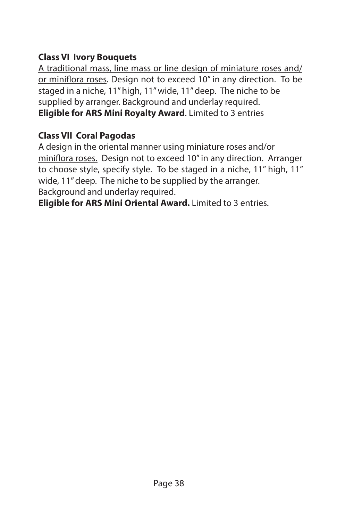#### **Class VI Ivory Bouquets**

A traditional mass, line mass or line design of miniature roses and/ or miniflora roses. Design not to exceed 10" in any direction. To be staged in a niche, 11" high, 11" wide, 11" deep. The niche to be supplied by arranger. Background and underlay required. **Eligible for ARS Mini Royalty Award**. Limited to 3 entries

#### **Class VII Coral Pagodas**

A design in the oriental manner using miniature roses and/or miniflora roses. Design not to exceed 10" in any direction. Arranger to choose style, specify style. To be staged in a niche, 11" high, 11" wide, 11" deep. The niche to be supplied by the arranger. Background and underlay required.

**Eligible for ARS Mini Oriental Award.** Limited to 3 entries.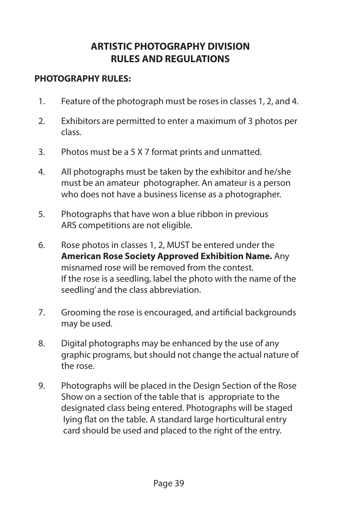## **ARTISTIC PHOTOGRAPHY DIVISION RULES AND REGULATIONS**

#### **PHOTOGRAPHY RULES:**

- 1. Feature of the photograph must be roses in classes 1, 2, and 4.
- 2. Exhibitors are permitted to enter a maximum of 3 photos per class.
- 3. Photos must be a 5 X 7 format prints and unmatted.
- 4. All photographs must be taken by the exhibitor and he/she must be an amateur photographer. An amateur is a person who does not have a business license as a photographer.
- 5. Photographs that have won a blue ribbon in previous ARS competitions are not eligible.
- 6. Rose photos in classes 1, 2, MUST be entered under the **American Rose Society Approved Exhibition Name.** Any misnamed rose will be removed from the contest. If the rose is a seedling, label the photo with the name of the seedling' and the class abbreviation.
- 7. Grooming the rose is encouraged, and artificial backgrounds may be used.
- 8. Digital photographs may be enhanced by the use of any graphic programs, but should not change the actual nature of the rose.
- 9. Photographs will be placed in the Design Section of the Rose Show on a section of the table that is appropriate to the designated class being entered. Photographs will be staged lying flat on the table. A standard large horticultural entry card should be used and placed to the right of the entry.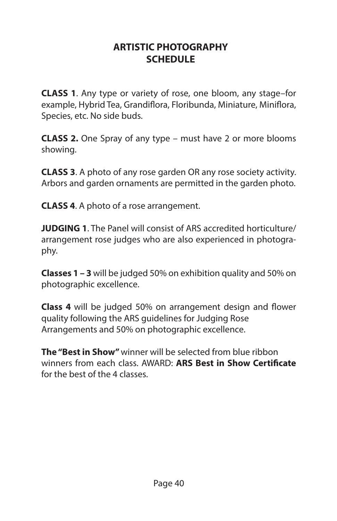#### **ARTISTIC PHOTOGRAPHY SCHEDULE**

**CLASS 1**. Any type or variety of rose, one bloom, any stage–for example, Hybrid Tea, Grandiflora, Floribunda, Miniature, Miniflora, Species, etc. No side buds.

**CLASS 2.** One Spray of any type – must have 2 or more blooms showing.

**CLASS 3**. A photo of any rose garden OR any rose society activity. Arbors and garden ornaments are permitted in the garden photo.

**CLASS 4**. A photo of a rose arrangement.

**JUDGING 1**. The Panel will consist of ARS accredited horticulture/ arrangement rose judges who are also experienced in photography.

**Classes 1 – 3** will be judged 50% on exhibition quality and 50% on photographic excellence.

**Class 4** will be judged 50% on arrangement design and flower quality following the ARS guidelines for Judging Rose Arrangements and 50% on photographic excellence.

**The "Best in Show"** winner will be selected from blue ribbon winners from each class. AWARD: **ARS Best in Show Certificate** for the best of the 4 classes.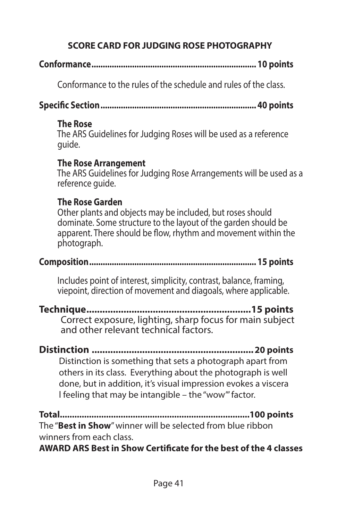## **SCORE CARD FOR JUDGING ROSE PHOTOGRAPHY**

## **Conformance......................................................................... 10 points**

Conformance to the rules of the schedule and rules of the class.

**Specific Section..................................................................... 40 points**

#### **The Rose**

 The ARS Guidelines for Judging Roses will be used as a reference guide.

#### **The Rose Arrangement**

 The ARS Guidelines for Judging Rose Arrangements will be used as a reference guide.

## **The Rose Garden**

 Other plants and objects may be included, but roses should dominate. Some structure to the layout of the garden should be apparent. There should be flow, rhythm and movement within the photograph.

#### **Composition.......................................................................... 15 points**

 Includes point of interest, simplicity, contrast, balance, framing, viepoint, direction of movement and diagoals, where applicable.

- **Technique..............................................................15 points** Correct exposure, lighting, sharp focus for main subject and other relevant technical factors.
- **Distinction .............................................................20 points** Distinction is something that sets a photograph apart from others in its class. Everything about the photograph is well done, but in addition, it's visual impression evokes a viscera l feeling that may be intangible – the "wow'" factor.

**Total..............................................................................100 points** The "**Best in Show**" winner will be selected from blue ribbon winners from each class.

**AWARD ARS Best in Show Certificate for the best of the 4 classes**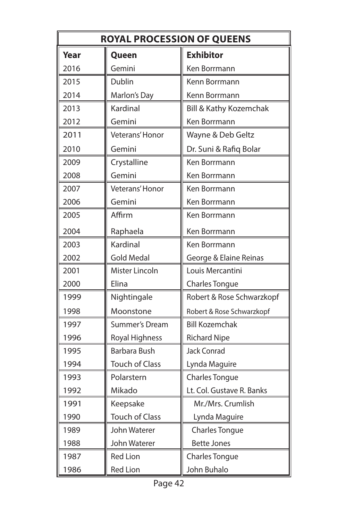| <b>ROYAL PROCESSION OF QUEENS</b> |                       |                           |
|-----------------------------------|-----------------------|---------------------------|
| Year                              | Queen                 | <b>Exhibitor</b>          |
| 2016                              | Gemini                | Ken Borrmann              |
| 2015                              | Dublin                | Kenn Borrmann             |
| 2014                              | Marlon's Day          | Kenn Borrmann             |
| 2013                              | Kardinal              | Bill & Kathy Kozemchak    |
| 2012                              | Gemini                | Ken Borrmann              |
| 2011                              | Veterans' Honor       | Wayne & Deb Geltz         |
| 2010                              | Gemini                | Dr. Suni & Rafiq Bolar    |
| 2009                              | Crystalline           | Ken Borrmann              |
| 2008                              | Gemini                | Ken Borrmann              |
| 2007                              | Veterans' Honor       | Ken Borrmann              |
| 2006                              | Gemini                | Ken Borrmann              |
| 2005                              | Affirm                | Ken Borrmann              |
| 2004                              | Raphaela              | Ken Borrmann              |
| 2003                              | Kardinal              | Ken Borrmann              |
| 2002                              | <b>Gold Medal</b>     | George & Elaine Reinas    |
| 2001                              | Mister Lincoln        | Louis Mercantini          |
| 2000                              | Elina                 | <b>Charles Tongue</b>     |
| 1999                              | Nightingale           | Robert & Rose Schwarzkopf |
| 1998                              | Moonstone             | Robert & Rose Schwarzkopf |
| 1997                              | <b>Summer's Dream</b> | <b>Bill Kozemchak</b>     |
| 1996                              | Royal Highness        | <b>Richard Nipe</b>       |
| 1995                              | Barbara Bush          | <b>Jack Conrad</b>        |
| 1994                              | <b>Touch of Class</b> | Lynda Maguire             |
| 1993                              | Polarstern            | <b>Charles Tongue</b>     |
| 1992                              | Mikado                | Lt. Col. Gustave R. Banks |
| 1991                              | Keepsake              | Mr./Mrs. Crumlish         |
| 1990                              | <b>Touch of Class</b> | Lynda Maguire             |
| 1989                              | John Waterer          | <b>Charles Tongue</b>     |
| 1988                              | John Waterer          | <b>Bette Jones</b>        |
| 1987                              | <b>Red Lion</b>       | <b>Charles Tongue</b>     |
| 1986                              | <b>Red Lion</b>       | John Buhalo               |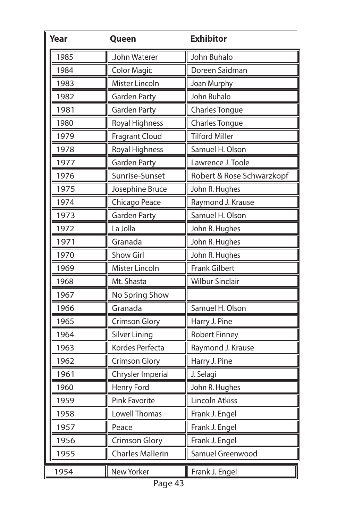| Year | Queen                   | <b>Exhibitor</b>          |
|------|-------------------------|---------------------------|
| 1985 | John Waterer            | John Buhalo               |
| 1984 | <b>Color Magic</b>      | Doreen Saidman            |
| 1983 | Mister Lincoln          | Joan Murphy               |
| 1982 | <b>Garden Party</b>     | John Buhalo               |
| 1981 | <b>Garden Party</b>     | Charles Tongue            |
| 1980 | Royal Highness          | Charles Tongue            |
| 1979 | <b>Fragrant Cloud</b>   | <b>Tilford Miller</b>     |
| 1978 | Royal Highness          | Samuel H. Olson           |
| 1977 | <b>Garden Party</b>     | Lawrence J. Toole         |
| 1976 | Sunrise-Sunset          | Robert & Rose Schwarzkopf |
| 1975 | Josephine Bruce         | John R. Hughes            |
| 1974 | Chicago Peace           | Raymond J. Krause         |
| 1973 | <b>Garden Party</b>     | Samuel H. Olson           |
| 1972 | La Jolla                | John R. Hughes            |
| 1971 | Granada                 | John R. Hughes            |
| 1970 | Show Girl               | John R. Hughes            |
| 1969 | Mister Lincoln          | <b>Frank Gilbert</b>      |
| 1968 | Mt. Shasta              | <b>Wilbur Sinclair</b>    |
| 1967 | No Spring Show          |                           |
| 1966 | Granada                 | Samuel H. Olson           |
| 1965 | <b>Crimson Glory</b>    | Harry J. Pine             |
| 1964 | <b>Silver Lining</b>    | <b>Robert Finney</b>      |
| 1963 | Kordes Perfecta         | Raymond J. Krause         |
| 1962 | <b>Crimson Glory</b>    | Harry J. Pine             |
| 1961 | Chrysler Imperial       | J. Selagi                 |
| 1960 | Henry Ford              | John R. Hughes            |
| 1959 | Pink Favorite           | Lincoln Atkiss            |
| 1958 | Lowell Thomas           | Frank J. Engel<br>Ш       |
| 1957 | Peace                   | Frank J. Engel            |
| 1956 | <b>Crimson Glory</b>    | Frank J. Engel            |
| 1955 | <b>Charles Mallerin</b> | I<br>Samuel Greenwood     |
| 1954 | New Yorker              | Frank J. Engel            |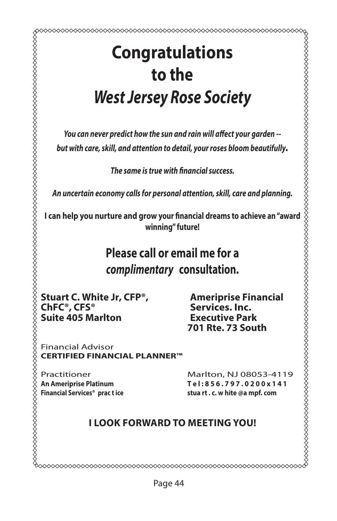## **Congratulations to the** *West Jersey Rose Society*

*You can never predict how the sun and rain will affect your garden - but with care, skill, and attention to detail, your roses bloom beautifully.*

*The same is true with financial success.*

*An uncertain economy calls for personal attention, skill, care and planning.*

**I can help you nurture and grow your financial dreams to achieve an "award winning" future!**

## **Please call or email me for a** *complimentary* **consultation.**

**Stuart C. White Jr, CFP<sup>®</sup>, Ameriprise Financial ChFC<sup>®</sup>, CFS<sup>®</sup> <b>Services.** Inc.<br>
Suite 405 Marlton **Suite Bark Suite 405 Marlton** 

**701 Rte. 73 South**

Financial Advisor **CERTIFIED FINANCIAL PLANNER™**

Practitioner Marlton, NJ 08053-4119<br>An Ameriprise Platinum Tel:856.797.0200x141 **An Ameriprise Platinum T e l : 8 5 6 . 7 9 7 . 0 2 0 0 x 1 4 1 Financial Services® prac t ice stua rt . c. w hite @a mpf. com**

#### **I LOOK FORWARD TO MEETING YOU!**

0000000000000000000000000000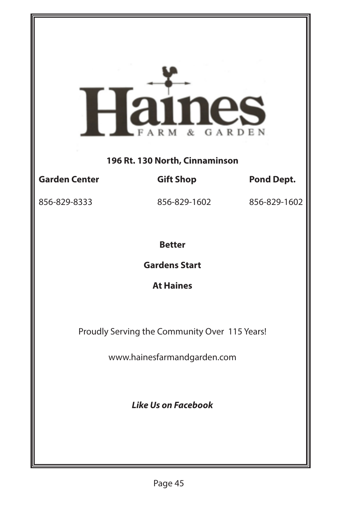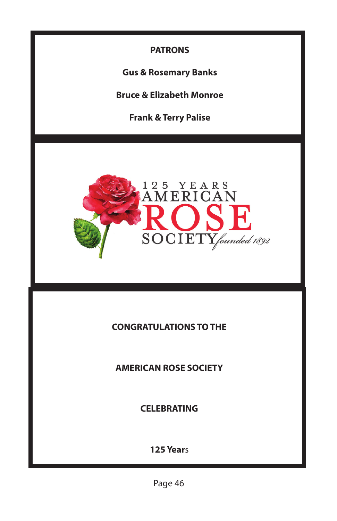

**Gus & Rosemary Banks**

**Bruce & Elizabeth Monroe**

**Frank & Terry Palise**



#### **CONGRATULATIONS TO THE**

**AMERICAN ROSE SOCIETY**

**CELEBRATING** 

**125 Year**s

Page 46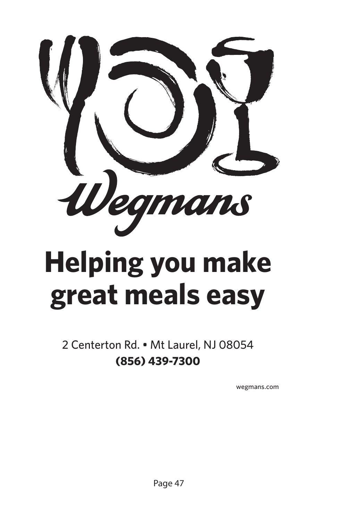

# **Helping you make great meals easy**

2 Centerton Rd. • Mt Laurel, NJ 08054 **(856) 439-7300**

wegmans.com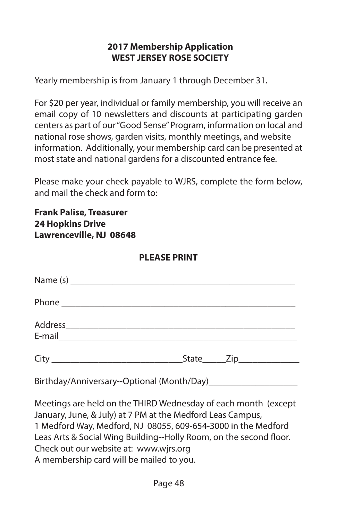#### **2017 Membership Application WEST JERSEY ROSE SOCIETY**

Yearly membership is from January 1 through December 31.

For \$20 per year, individual or family membership, you will receive an email copy of 10 newsletters and discounts at participating garden centers as part of our "Good Sense" Program, information on local and national rose shows, garden visits, monthly meetings, and website information. Additionally, your membership card can be presented at most state and national gardens for a discounted entrance fee.

Please make your check payable to WJRS, complete the form below, and mail the check and form to:

**Frank Palise, Treasurer 24 Hopkins Drive Lawrenceville, NJ 08648**

#### **PLEASE PRINT**

|  | State______Zip_______________ |  |
|--|-------------------------------|--|

Birthday/Anniversary--Optional (Month/Day)

Meetings are held on the THIRD Wednesday of each month (except January, June, & July) at 7 PM at the Medford Leas Campus, 1 Medford Way, Medford, NJ 08055, 609-654-3000 in the Medford Leas Arts & Social Wing Building--Holly Room, on the second floor. Check out our website at: www.wjrs.org A membership card will be mailed to you.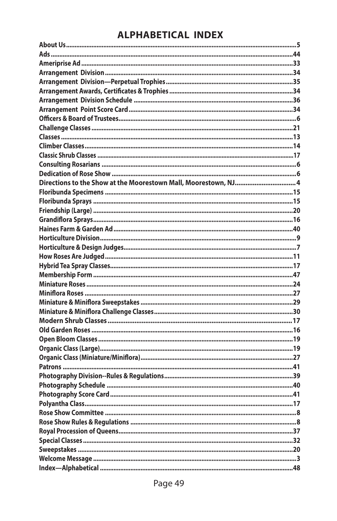## **ALPHABETICAL INDEX**